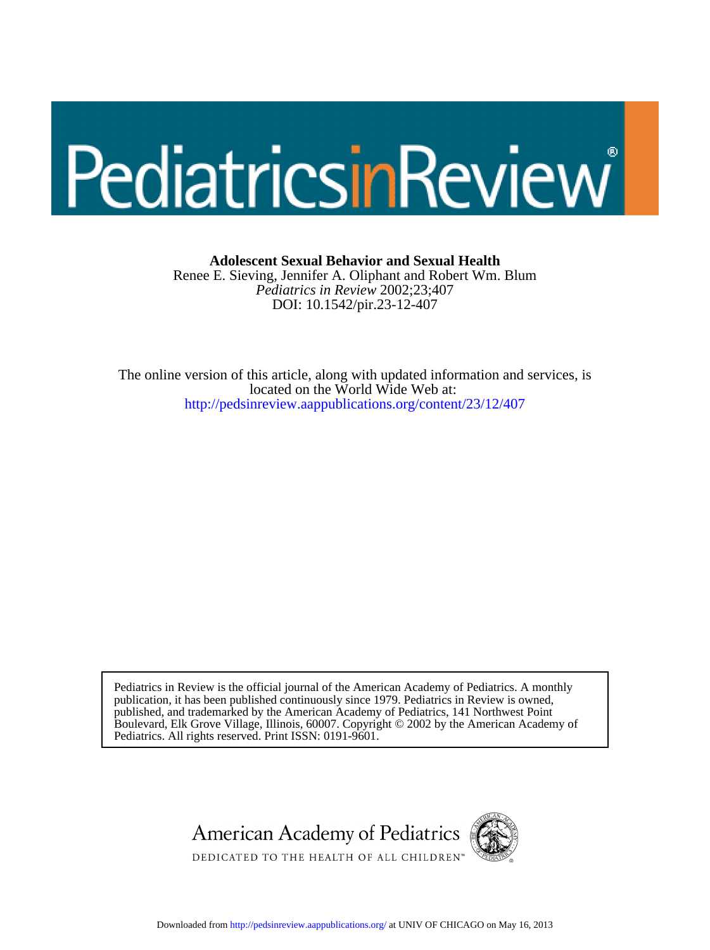

## **Adolescent Sexual Behavior and Sexual Health**

DOI: 10.1542/pir.23-12-407 *Pediatrics in Review* 2002;23;407 Renee E. Sieving, Jennifer A. Oliphant and Robert Wm. Blum

<http://pedsinreview.aappublications.org/content/23/12/407> located on the World Wide Web at: The online version of this article, along with updated information and services, is

Pediatrics. All rights reserved. Print ISSN: 0191-9601. Boulevard, Elk Grove Village, Illinois, 60007. Copyright © 2002 by the American Academy of published, and trademarked by the American Academy of Pediatrics, 141 Northwest Point publication, it has been published continuously since 1979. Pediatrics in Review is owned, Pediatrics in Review is the official journal of the American Academy of Pediatrics. A monthly



Downloaded from<http://pedsinreview.aappublications.org/>at UNIV OF CHICAGO on May 16, 2013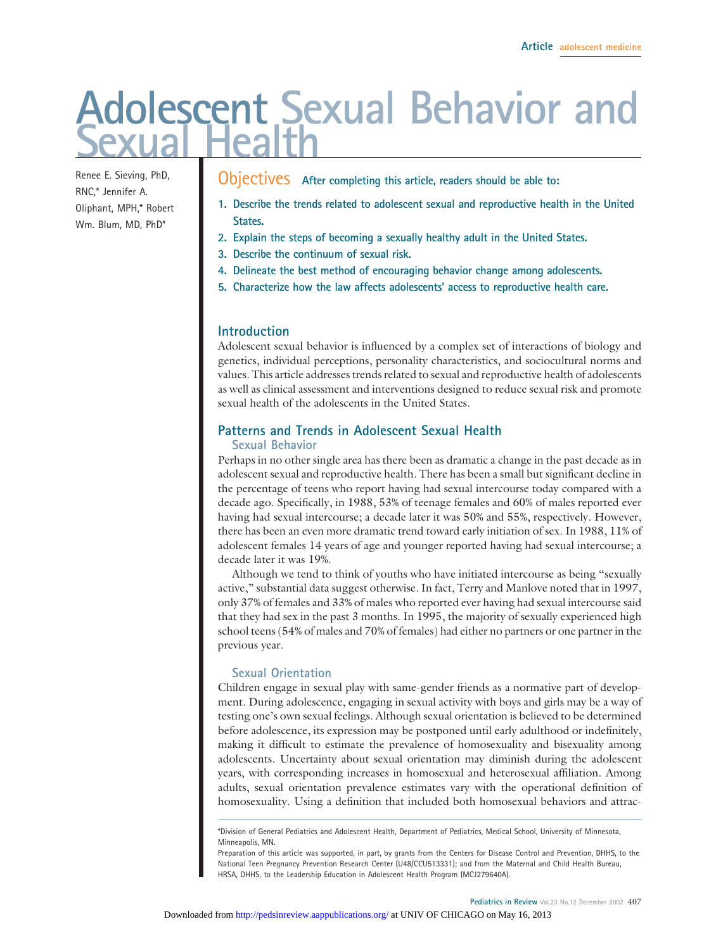# **Adolescent Sexual Behavior and**

Renee E. Sieving, PhD, RNC,\* Jennifer A. Oliphant, MPH,\* Robert Wm. Blum, MD, PhD\*

Objectives **After completing this article, readers should be able to:**

- **1. Describe the trends related to adolescent sexual and reproductive health in the United States.**
- **2. Explain the steps of becoming a sexually healthy adult in the United States.**
- **3. Describe the continuum of sexual risk.**
- **4. Delineate the best method of encouraging behavior change among adolescents.**
- **5. Characterize how the law affects adolescents' access to reproductive health care.**

## **Introduction**

Adolescent sexual behavior is influenced by a complex set of interactions of biology and genetics, individual perceptions, personality characteristics, and sociocultural norms and values. This article addresses trends related to sexual and reproductive health of adolescents as well as clinical assessment and interventions designed to reduce sexual risk and promote sexual health of the adolescents in the United States.

## **Patterns and Trends in Adolescent Sexual Health**

## **Sexual Behavior**

Perhaps in no other single area has there been as dramatic a change in the past decade as in adolescent sexual and reproductive health. There has been a small but significant decline in the percentage of teens who report having had sexual intercourse today compared with a decade ago. Specifically, in 1988, 53% of teenage females and 60% of males reported ever having had sexual intercourse; a decade later it was 50% and 55%, respectively. However, there has been an even more dramatic trend toward early initiation of sex. In 1988, 11% of adolescent females 14 years of age and younger reported having had sexual intercourse; a decade later it was 19%.

Although we tend to think of youths who have initiated intercourse as being "sexually active," substantial data suggest otherwise. In fact, Terry and Manlove noted that in 1997, only 37% of females and 33% of males who reported ever having had sexual intercourse said that they had sex in the past 3 months. In 1995, the majority of sexually experienced high school teens (54% of males and 70% of females) had either no partners or one partner in the previous year.

## **Sexual Orientation**

Children engage in sexual play with same-gender friends as a normative part of development. During adolescence, engaging in sexual activity with boys and girls may be a way of testing one's own sexual feelings. Although sexual orientation is believed to be determined before adolescence, its expression may be postponed until early adulthood or indefinitely, making it difficult to estimate the prevalence of homosexuality and bisexuality among adolescents. Uncertainty about sexual orientation may diminish during the adolescent years, with corresponding increases in homosexual and heterosexual affiliation. Among adults, sexual orientation prevalence estimates vary with the operational definition of homosexuality. Using a definition that included both homosexual behaviors and attrac-

Pediatrics in Review Vol.23 No.12 December 2002 407

<sup>\*</sup>Division of General Pediatrics and Adolescent Health, Department of Pediatrics, Medical School, University of Minnesota, Minneapolis, MN.

Preparation of this article was supported, in part, by grants from the Centers for Disease Control and Prevention, DHHS, to the National Teen Pregnancy Prevention Research Center (U48/CCU513331); and from the Maternal and Child Health Bureau, HRSA, DHHS, to the Leadership Education in Adolescent Health Program (MCJ279640A).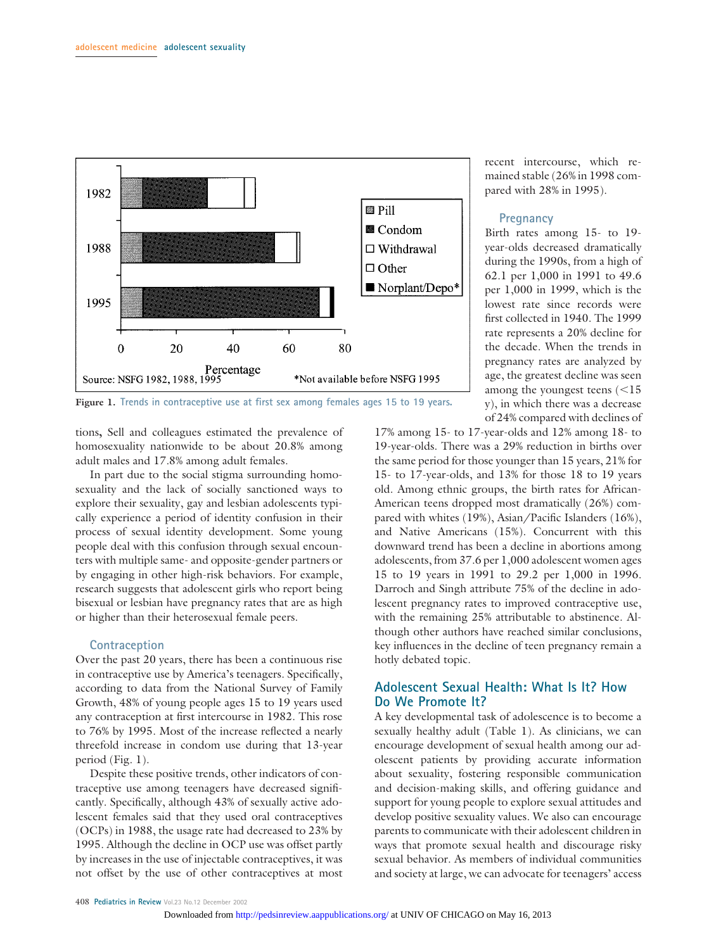

**Figure 1. Trends in contraceptive use at first sex among females ages 15 to 19 years.**

tions**,** Sell and colleagues estimated the prevalence of homosexuality nationwide to be about 20.8% among adult males and 17.8% among adult females.

In part due to the social stigma surrounding homosexuality and the lack of socially sanctioned ways to explore their sexuality, gay and lesbian adolescents typically experience a period of identity confusion in their process of sexual identity development. Some young people deal with this confusion through sexual encounters with multiple same- and opposite-gender partners or by engaging in other high-risk behaviors. For example, research suggests that adolescent girls who report being bisexual or lesbian have pregnancy rates that are as high or higher than their heterosexual female peers.

### **Contraception**

Over the past 20 years, there has been a continuous rise in contraceptive use by America's teenagers. Specifically, according to data from the National Survey of Family Growth, 48% of young people ages 15 to 19 years used any contraception at first intercourse in 1982. This rose to 76% by 1995. Most of the increase reflected a nearly threefold increase in condom use during that 13-year period (Fig. 1).

Despite these positive trends, other indicators of contraceptive use among teenagers have decreased significantly. Specifically, although 43% of sexually active adolescent females said that they used oral contraceptives (OCPs) in 1988, the usage rate had decreased to 23% by 1995. Although the decline in OCP use was offset partly by increases in the use of injectable contraceptives, it was not offset by the use of other contraceptives at most

recent intercourse, which remained stable (26% in 1998 compared with 28% in 1995).

## **Pregnancy**

Birth rates among 15- to 19 year-olds decreased dramatically during the 1990s, from a high of 62.1 per 1,000 in 1991 to 49.6 per 1,000 in 1999, which is the lowest rate since records were first collected in 1940. The 1999 rate represents a 20% decline for the decade. When the trends in pregnancy rates are analyzed by age, the greatest decline was seen among the youngest teens  $\left($  <15 y), in which there was a decrease of 24% compared with declines of

17% among 15- to 17-year-olds and 12% among 18- to 19-year-olds. There was a 29% reduction in births over the same period for those younger than 15 years, 21% for 15- to 17-year-olds, and 13% for those 18 to 19 years old. Among ethnic groups, the birth rates for African-American teens dropped most dramatically (26%) compared with whites (19%), Asian/Pacific Islanders (16%), and Native Americans (15%). Concurrent with this downward trend has been a decline in abortions among adolescents, from 37.6 per 1,000 adolescent women ages 15 to 19 years in 1991 to 29.2 per 1,000 in 1996. Darroch and Singh attribute 75% of the decline in adolescent pregnancy rates to improved contraceptive use, with the remaining 25% attributable to abstinence. Although other authors have reached similar conclusions, key influences in the decline of teen pregnancy remain a hotly debated topic.

## **Adolescent Sexual Health: What Is It? How Do We Promote It?**

A key developmental task of adolescence is to become a sexually healthy adult (Table 1). As clinicians, we can encourage development of sexual health among our adolescent patients by providing accurate information about sexuality, fostering responsible communication and decision-making skills, and offering guidance and support for young people to explore sexual attitudes and develop positive sexuality values. We also can encourage parents to communicate with their adolescent children in ways that promote sexual health and discourage risky sexual behavior. As members of individual communities and society at large, we can advocate for teenagers' access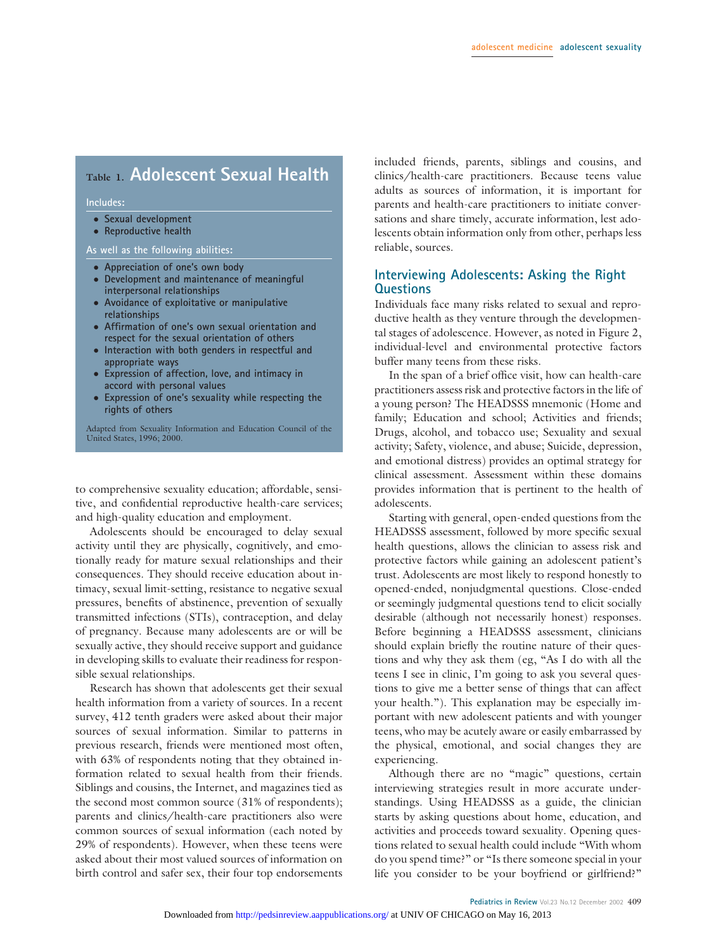# **Table 1. Adolescent Sexual Health**

**Includes:**

- **Sexual development**
- **Reproductive health**
- **As well as the following abilities:**
- **Appreciation of one's own body**
- **Development and maintenance of meaningful interpersonal relationships**
- **Avoidance of exploitative or manipulative relationships**
- **Affirmation of one's own sexual orientation and respect for the sexual orientation of others**
- **Interaction with both genders in respectful and appropriate ways**
- **Expression of affection, love, and intimacy in accord with personal values**
- **Expression of one's sexuality while respecting the rights of others**

Adapted from Sexuality Information and Education Council of the United States, 1996; 2000.

to comprehensive sexuality education; affordable, sensitive, and confidential reproductive health-care services; and high-quality education and employment.

Adolescents should be encouraged to delay sexual activity until they are physically, cognitively, and emotionally ready for mature sexual relationships and their consequences. They should receive education about intimacy, sexual limit-setting, resistance to negative sexual pressures, benefits of abstinence, prevention of sexually transmitted infections (STIs), contraception, and delay of pregnancy. Because many adolescents are or will be sexually active, they should receive support and guidance in developing skills to evaluate their readiness for responsible sexual relationships.

Research has shown that adolescents get their sexual health information from a variety of sources. In a recent survey, 412 tenth graders were asked about their major sources of sexual information. Similar to patterns in previous research, friends were mentioned most often, with 63% of respondents noting that they obtained information related to sexual health from their friends. Siblings and cousins, the Internet, and magazines tied as the second most common source (31% of respondents); parents and clinics/health-care practitioners also were common sources of sexual information (each noted by 29% of respondents). However, when these teens were asked about their most valued sources of information on birth control and safer sex, their four top endorsements

included friends, parents, siblings and cousins, and clinics/health-care practitioners. Because teens value adults as sources of information, it is important for parents and health-care practitioners to initiate conversations and share timely, accurate information, lest adolescents obtain information only from other, perhaps less reliable, sources.

# **Interviewing Adolescents: Asking the Right Questions**

Individuals face many risks related to sexual and reproductive health as they venture through the developmental stages of adolescence. However, as noted in Figure 2, individual-level and environmental protective factors buffer many teens from these risks.

In the span of a brief office visit, how can health-care practitioners assess risk and protective factors in the life of a young person? The HEADSSS mnemonic (Home and family; Education and school; Activities and friends; Drugs, alcohol, and tobacco use; Sexuality and sexual activity; Safety, violence, and abuse; Suicide, depression, and emotional distress) provides an optimal strategy for clinical assessment. Assessment within these domains provides information that is pertinent to the health of adolescents.

Starting with general, open-ended questions from the HEADSSS assessment, followed by more specific sexual health questions, allows the clinician to assess risk and protective factors while gaining an adolescent patient's trust. Adolescents are most likely to respond honestly to opened-ended, nonjudgmental questions. Close-ended or seemingly judgmental questions tend to elicit socially desirable (although not necessarily honest) responses. Before beginning a HEADSSS assessment, clinicians should explain briefly the routine nature of their questions and why they ask them (eg, "As I do with all the teens I see in clinic, I'm going to ask you several questions to give me a better sense of things that can affect your health."). This explanation may be especially important with new adolescent patients and with younger teens, who may be acutely aware or easily embarrassed by the physical, emotional, and social changes they are experiencing.

Although there are no "magic" questions, certain interviewing strategies result in more accurate understandings. Using HEADSSS as a guide, the clinician starts by asking questions about home, education, and activities and proceeds toward sexuality. Opening questions related to sexual health could include "With whom do you spend time?" or "Is there someone special in your life you consider to be your boyfriend or girlfriend?"

Pediatrics in Review Vol.23 No.12 December 2002 409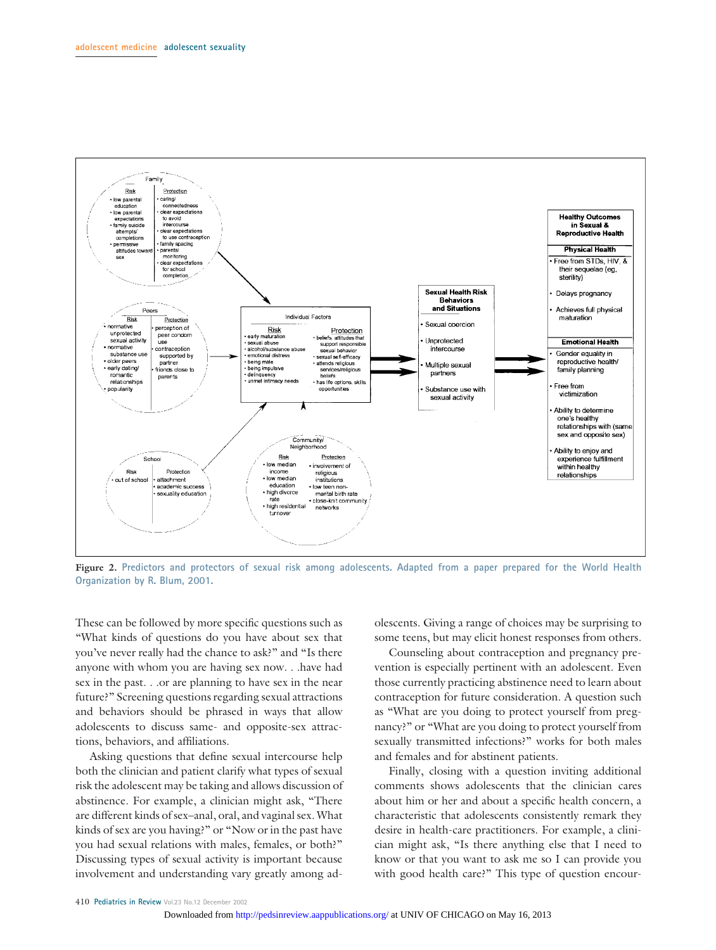

**Figure 2. Predictors and protectors of sexual risk among adolescents. Adapted from a paper prepared for the World Health Organization by R. Blum, 2001.**

These can be followed by more specific questions such as "What kinds of questions do you have about sex that you've never really had the chance to ask?" and "Is there anyone with whom you are having sex now. . .have had sex in the past. . .or are planning to have sex in the near future?" Screening questions regarding sexual attractions and behaviors should be phrased in ways that allow adolescents to discuss same- and opposite-sex attractions, behaviors, and affiliations.

Asking questions that define sexual intercourse help both the clinician and patient clarify what types of sexual risk the adolescent may be taking and allows discussion of abstinence. For example, a clinician might ask, "There are different kinds of sex–anal, oral, and vaginal sex. What kinds of sex are you having?" or "Now or in the past have you had sexual relations with males, females, or both?" Discussing types of sexual activity is important because involvement and understanding vary greatly among adolescents. Giving a range of choices may be surprising to some teens, but may elicit honest responses from others.

Counseling about contraception and pregnancy prevention is especially pertinent with an adolescent. Even those currently practicing abstinence need to learn about contraception for future consideration. A question such as "What are you doing to protect yourself from pregnancy?" or "What are you doing to protect yourself from sexually transmitted infections?" works for both males and females and for abstinent patients.

Finally, closing with a question inviting additional comments shows adolescents that the clinician cares about him or her and about a specific health concern, a characteristic that adolescents consistently remark they desire in health-care practitioners. For example, a clinician might ask, "Is there anything else that I need to know or that you want to ask me so I can provide you with good health care?" This type of question encour-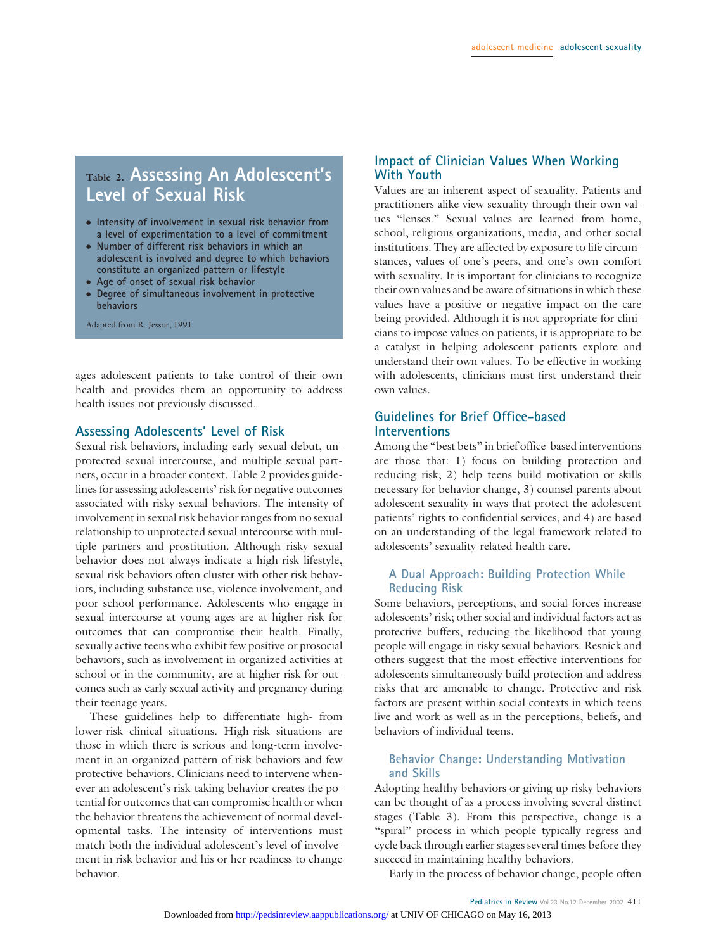# **Table 2. Assessing An Adolescent's Level of Sexual Risk**

- **Intensity of involvement in sexual risk behavior from a level of experimentation to a level of commitment**
- **Number of different risk behaviors in which an adolescent is involved and degree to which behaviors constitute an organized pattern or lifestyle**
- **Age of onset of sexual risk behavior**
- **Degree of simultaneous involvement in protective behaviors**

Adapted from R. Jessor, 1991

ages adolescent patients to take control of their own health and provides them an opportunity to address health issues not previously discussed.

## **Assessing Adolescents' Level of Risk**

Sexual risk behaviors, including early sexual debut, unprotected sexual intercourse, and multiple sexual partners, occur in a broader context. Table 2 provides guidelines for assessing adolescents' risk for negative outcomes associated with risky sexual behaviors. The intensity of involvement in sexual risk behavior ranges from no sexual relationship to unprotected sexual intercourse with multiple partners and prostitution. Although risky sexual behavior does not always indicate a high-risk lifestyle, sexual risk behaviors often cluster with other risk behaviors, including substance use, violence involvement, and poor school performance. Adolescents who engage in sexual intercourse at young ages are at higher risk for outcomes that can compromise their health. Finally, sexually active teens who exhibit few positive or prosocial behaviors, such as involvement in organized activities at school or in the community, are at higher risk for outcomes such as early sexual activity and pregnancy during their teenage years.

These guidelines help to differentiate high- from lower-risk clinical situations. High-risk situations are those in which there is serious and long-term involvement in an organized pattern of risk behaviors and few protective behaviors. Clinicians need to intervene whenever an adolescent's risk-taking behavior creates the potential for outcomes that can compromise health or when the behavior threatens the achievement of normal developmental tasks. The intensity of interventions must match both the individual adolescent's level of involvement in risk behavior and his or her readiness to change behavior.

## **Impact of Clinician Values When Working With Youth**

Values are an inherent aspect of sexuality. Patients and practitioners alike view sexuality through their own values "lenses." Sexual values are learned from home, school, religious organizations, media, and other social institutions. They are affected by exposure to life circumstances, values of one's peers, and one's own comfort with sexuality. It is important for clinicians to recognize their own values and be aware of situations in which these values have a positive or negative impact on the care being provided. Although it is not appropriate for clinicians to impose values on patients, it is appropriate to be a catalyst in helping adolescent patients explore and understand their own values. To be effective in working with adolescents, clinicians must first understand their own values.

## **Guidelines for Brief Office-based Interventions**

Among the "best bets" in brief office-based interventions are those that: 1) focus on building protection and reducing risk, 2) help teens build motivation or skills necessary for behavior change, 3) counsel parents about adolescent sexuality in ways that protect the adolescent patients' rights to confidential services, and 4) are based on an understanding of the legal framework related to adolescents' sexuality-related health care.

## **A Dual Approach: Building Protection While Reducing Risk**

Some behaviors, perceptions, and social forces increase adolescents' risk; other social and individual factors act as protective buffers, reducing the likelihood that young people will engage in risky sexual behaviors. Resnick and others suggest that the most effective interventions for adolescents simultaneously build protection and address risks that are amenable to change. Protective and risk factors are present within social contexts in which teens live and work as well as in the perceptions, beliefs, and behaviors of individual teens.

## **Behavior Change: Understanding Motivation and Skills**

Adopting healthy behaviors or giving up risky behaviors can be thought of as a process involving several distinct stages (Table 3). From this perspective, change is a "spiral" process in which people typically regress and cycle back through earlier stages several times before they succeed in maintaining healthy behaviors.

Early in the process of behavior change, people often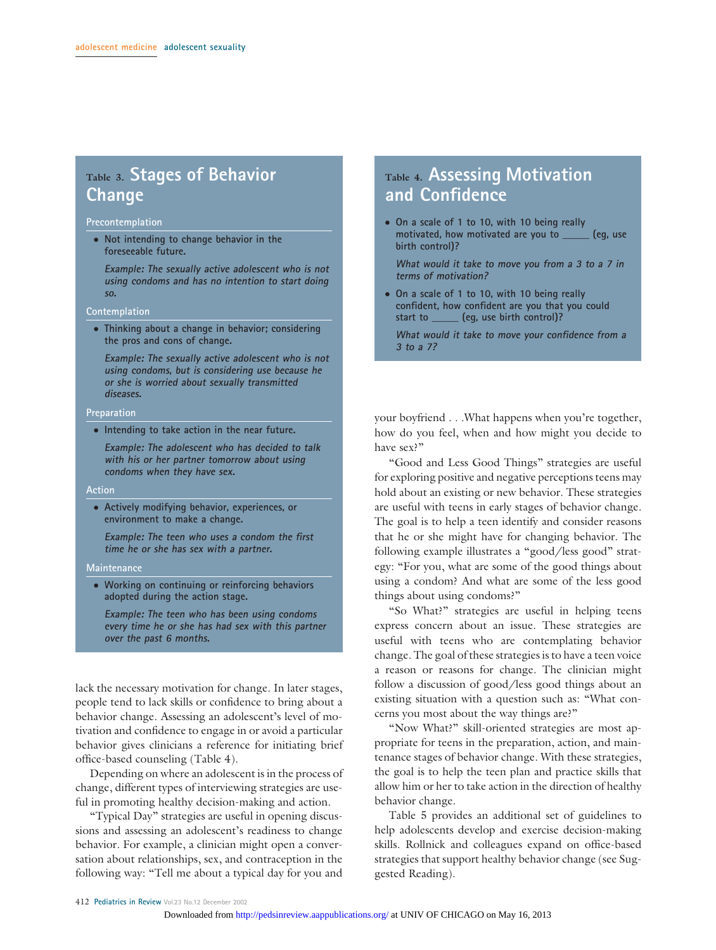# **Table 3. Stages of Behavior Change**

#### **Precontemplation**

● **Not intending to change behavior in the foreseeable future.**

**Example: The sexually active adolescent who is not using condoms and has no intention to start doing so.**

#### **Contemplation**

● **Thinking about a change in behavior; considering the pros and cons of change.**

**Example: The sexually active adolescent who is not using condoms, but is considering use because he or she is worried about sexually transmitted diseases.**

#### **Preparation**

● **Intending to take action in the near future.**

**Example: The adolescent who has decided to talk with his or her partner tomorrow about using condoms when they have sex.**

#### **Action**

● **Actively modifying behavior, experiences, or environment to make a change.**

**Example: The teen who uses <sup>a</sup> condom the first time he or she has sex with <sup>a</sup> partner.**

#### **Maintenance**

● **Working on continuing or reinforcing behaviors adopted during the action stage.**

**Example: The teen who has been using condoms every time he or she has had sex with this partner over the past 6 months.**

lack the necessary motivation for change. In later stages, people tend to lack skills or confidence to bring about a behavior change. Assessing an adolescent's level of motivation and confidence to engage in or avoid a particular behavior gives clinicians a reference for initiating brief office-based counseling (Table 4).

Depending on where an adolescent is in the process of change, different types of interviewing strategies are useful in promoting healthy decision-making and action.

"Typical Day" strategies are useful in opening discussions and assessing an adolescent's readiness to change behavior. For example, a clinician might open a conversation about relationships, sex, and contraception in the following way: "Tell me about a typical day for you and

# **Table 4. Assessing Motivation and Confidence**

● **On a scale of 1 to 10, with 10 being really motivated, how motivated are you to \_\_\_\_\_ (eg, use birth control)?**

What would it take to move you from a 3 to a 7 in **terms of motivation?**

● **On a scale of 1 to 10, with 10 being really confident, how confident are you that you could**<br>start to (eq. use birth control)? **start to \_\_\_\_\_ (eg, use birth control)?**

**What would it take to move your confidence from <sup>a</sup> 3 to <sup>a</sup> 7?**

your boyfriend . . .What happens when you're together, how do you feel, when and how might you decide to have sex?"

"Good and Less Good Things" strategies are useful for exploring positive and negative perceptions teens may hold about an existing or new behavior. These strategies are useful with teens in early stages of behavior change. The goal is to help a teen identify and consider reasons that he or she might have for changing behavior. The following example illustrates a "good/less good" strategy: "For you, what are some of the good things about using a condom? And what are some of the less good things about using condoms?"

"So What?" strategies are useful in helping teens express concern about an issue. These strategies are useful with teens who are contemplating behavior change. The goal of these strategies is to have a teen voice a reason or reasons for change. The clinician might follow a discussion of good/less good things about an existing situation with a question such as: "What concerns you most about the way things are?"

"Now What?" skill-oriented strategies are most appropriate for teens in the preparation, action, and maintenance stages of behavior change. With these strategies, the goal is to help the teen plan and practice skills that allow him or her to take action in the direction of healthy behavior change.

Table 5 provides an additional set of guidelines to help adolescents develop and exercise decision-making skills. Rollnick and colleagues expand on office-based strategies that support healthy behavior change (see Suggested Reading).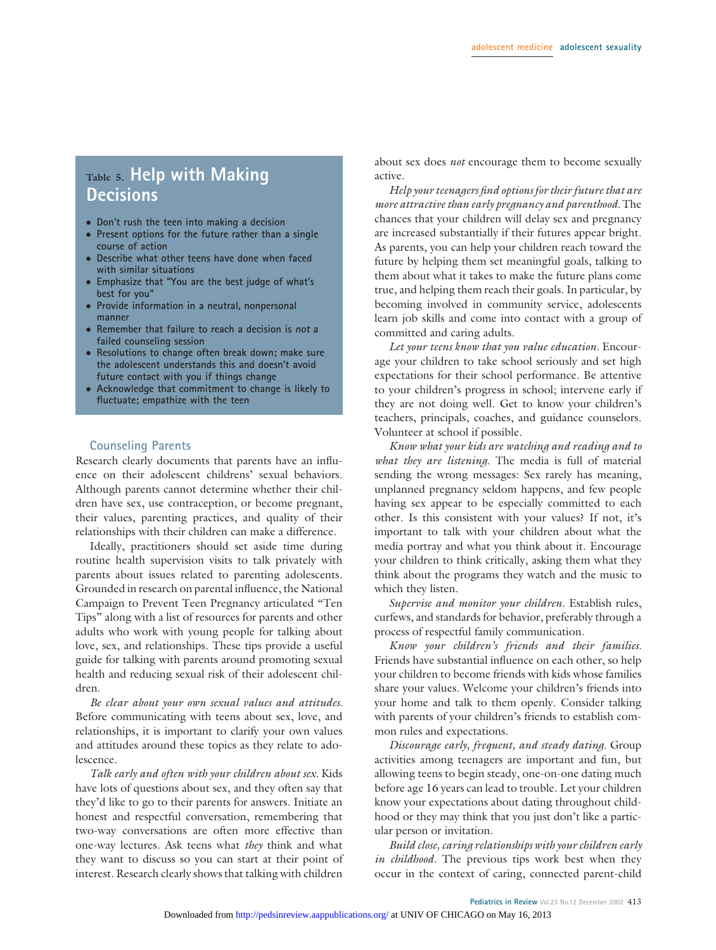# **Table 5. Help with Making Decisions**

- **Don't rush the teen into making a decision**
- **Present options for the future rather than a single course of action**
- **Describe what other teens have done when faced with similar situations**
- **Emphasize that "You are the best judge of what's best for you"**
- **Provide information in a neutral, nonpersonal manner**
- **Remember that failure to reach a decision is not a failed counseling session**
- **Resolutions to change often break down; make sure the adolescent understands this and doesn't avoid future contact with you if things change**
- **Acknowledge that commitment to change is likely to fluctuate; empathize with the teen**

## **Counseling Parents**

Research clearly documents that parents have an influence on their adolescent childrens' sexual behaviors. Although parents cannot determine whether their children have sex, use contraception, or become pregnant, their values, parenting practices, and quality of their relationships with their children can make a difference.

Ideally, practitioners should set aside time during routine health supervision visits to talk privately with parents about issues related to parenting adolescents. Grounded in research on parental influence, the National Campaign to Prevent Teen Pregnancy articulated "Ten Tips" along with a list of resources for parents and other adults who work with young people for talking about love, sex, and relationships. These tips provide a useful guide for talking with parents around promoting sexual health and reducing sexual risk of their adolescent children.

*Be clear about your own sexual values and attitudes.* Before communicating with teens about sex, love, and relationships, it is important to clarify your own values and attitudes around these topics as they relate to adolescence.

*Talk early and often with your children about sex.* Kids have lots of questions about sex, and they often say that they'd like to go to their parents for answers. Initiate an honest and respectful conversation, remembering that two-way conversations are often more effective than one-way lectures. Ask teens what *they* think and what they want to discuss so you can start at their point of interest. Research clearly shows that talking with children

about sex does *not* encourage them to become sexually active.

*Help your teenagers find options for their future that are more attractive than early pregnancy and parenthood.* The chances that your children will delay sex and pregnancy are increased substantially if their futures appear bright. As parents, you can help your children reach toward the future by helping them set meaningful goals, talking to them about what it takes to make the future plans come true, and helping them reach their goals. In particular, by becoming involved in community service, adolescents learn job skills and come into contact with a group of committed and caring adults.

*Let your teens know that you value education.* Encourage your children to take school seriously and set high expectations for their school performance. Be attentive to your children's progress in school; intervene early if they are not doing well. Get to know your children's teachers, principals, coaches, and guidance counselors. Volunteer at school if possible.

*Know what your kids are watching and reading and to what they are listening.* The media is full of material sending the wrong messages: Sex rarely has meaning, unplanned pregnancy seldom happens, and few people having sex appear to be especially committed to each other. Is this consistent with your values? If not, it's important to talk with your children about what the media portray and what you think about it. Encourage your children to think critically, asking them what they think about the programs they watch and the music to which they listen.

*Supervise and monitor your children.* Establish rules, curfews, and standards for behavior, preferably through a process of respectful family communication.

*Know your children's friends and their families.* Friends have substantial influence on each other, so help your children to become friends with kids whose families share your values. Welcome your children's friends into your home and talk to them openly. Consider talking with parents of your children's friends to establish common rules and expectations.

*Discourage early, frequent, and steady dating.* Group activities among teenagers are important and fun, but allowing teens to begin steady, one-on-one dating much before age 16 years can lead to trouble. Let your children know your expectations about dating throughout childhood or they may think that you just don't like a particular person or invitation.

*Build close, caring relationships with your children early in childhood.* The previous tips work best when they occur in the context of caring, connected parent-child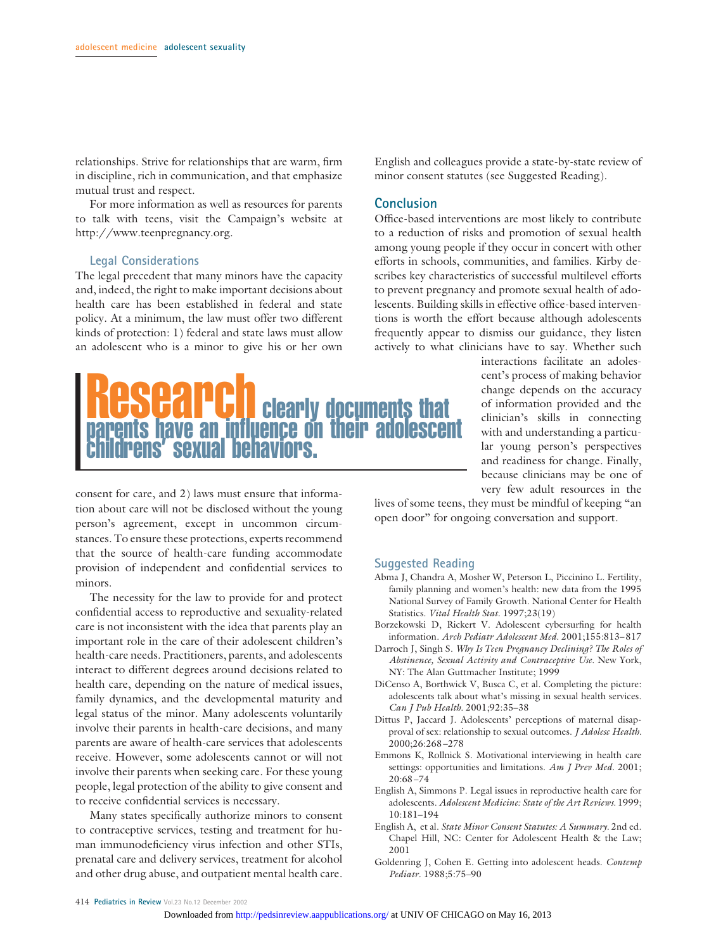relationships. Strive for relationships that are warm, firm in discipline, rich in communication, and that emphasize mutual trust and respect.

For more information as well as resources for parents to talk with teens, visit the Campaign's website at http://www.teenpregnancy.org.

### **Legal Considerations**

The legal precedent that many minors have the capacity and, indeed, the right to make important decisions about health care has been established in federal and state policy. At a minimum, the law must offer two different kinds of protection: 1) federal and state laws must allow an adolescent who is a minor to give his or her own



consent for care, and 2) laws must ensure that information about care will not be disclosed without the young person's agreement, except in uncommon circumstances. To ensure these protections, experts recommend that the source of health-care funding accommodate provision of independent and confidential services to minors.

The necessity for the law to provide for and protect confidential access to reproductive and sexuality-related care is not inconsistent with the idea that parents play an important role in the care of their adolescent children's health-care needs. Practitioners, parents, and adolescents interact to different degrees around decisions related to health care, depending on the nature of medical issues, family dynamics, and the developmental maturity and legal status of the minor. Many adolescents voluntarily involve their parents in health-care decisions, and many parents are aware of health-care services that adolescents receive. However, some adolescents cannot or will not involve their parents when seeking care. For these young people, legal protection of the ability to give consent and to receive confidential services is necessary.

Many states specifically authorize minors to consent to contraceptive services, testing and treatment for human immunodeficiency virus infection and other STIs, prenatal care and delivery services, treatment for alcohol and other drug abuse, and outpatient mental health care.

English and colleagues provide a state-by-state review of minor consent statutes (see Suggested Reading).

## **Conclusion**

Office-based interventions are most likely to contribute to a reduction of risks and promotion of sexual health among young people if they occur in concert with other efforts in schools, communities, and families. Kirby describes key characteristics of successful multilevel efforts to prevent pregnancy and promote sexual health of adolescents. Building skills in effective office-based interventions is worth the effort because although adolescents frequently appear to dismiss our guidance, they listen actively to what clinicians have to say. Whether such

> interactions facilitate an adolescent's process of making behavior change depends on the accuracy of information provided and the clinician's skills in connecting with and understanding a particular young person's perspectives and readiness for change. Finally, because clinicians may be one of very few adult resources in the

lives of some teens, they must be mindful of keeping "an open door" for ongoing conversation and support.

## **Suggested Reading**

- Abma J, Chandra A, Mosher W, Peterson L, Piccinino L. Fertility, family planning and women's health: new data from the 1995 National Survey of Family Growth. National Center for Health Statistics. *Vital Health Stat.* 1997;23(19)
- Borzekowski D, Rickert V. Adolescent cybersurfing for health information. *Arch Pediatr Adolescent Med.* 2001;155:813–817
- Darroch J, Singh S. *Why Is Teen Pregnancy Declining? The Roles of Abstinence, Sexual Activity and Contraceptive Use.* New York, NY: The Alan Guttmacher Institute; 1999
- DiCenso A, Borthwick V, Busca C, et al. Completing the picture: adolescents talk about what's missing in sexual health services. *Can J Pub Health.* 2001;92:35–38
- Dittus P, Jaccard J. Adolescents' perceptions of maternal disapproval of sex: relationship to sexual outcomes. *J Adolesc Health.* 2000;26:268–278
- Emmons K, Rollnick S. Motivational interviewing in health care settings: opportunities and limitations. *Am J Prev Med.* 2001; 20:68–74
- English A, Simmons P. Legal issues in reproductive health care for adolescents. *Adolescent Medicine: State of the Art Reviews.* 1999; 10:181–194
- English A, et al. *State Minor Consent Statutes: A Summary.* 2nd ed. Chapel Hill, NC: Center for Adolescent Health & the Law; 2001
- Goldenring J, Cohen E. Getting into adolescent heads. *Contemp Pediatr.* 1988;5:75–90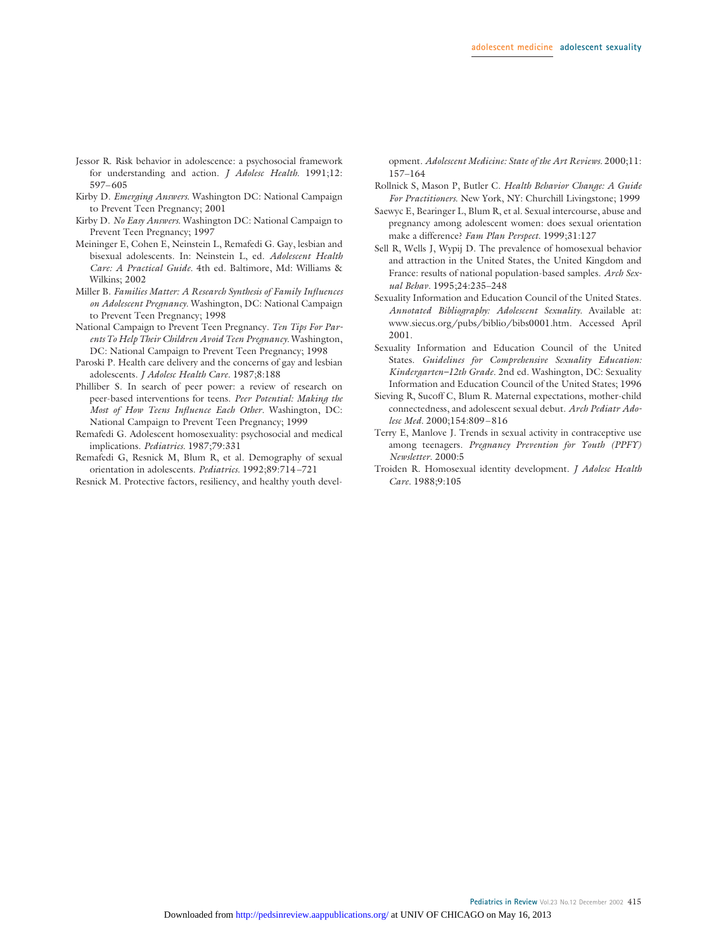- Jessor R. Risk behavior in adolescence: a psychosocial framework for understanding and action. *J Adolesc Health.* 1991;12: 597–605
- Kirby D. *Emerging Answers*. Washington DC: National Campaign to Prevent Teen Pregnancy; 2001
- Kirby D. *No Easy Answers*. Washington DC: National Campaign to Prevent Teen Pregnancy; 1997
- Meininger E, Cohen E, Neinstein L, Remafedi G. Gay, lesbian and bisexual adolescents. In: Neinstein L, ed. *Adolescent Health Care: A Practical Guide.* 4th ed. Baltimore, Md: Williams & Wilkins; 2002
- Miller B. *Families Matter: A Research Synthesis of Family Influences on Adolescent Pregnancy*. Washington, DC: National Campaign to Prevent Teen Pregnancy; 1998
- National Campaign to Prevent Teen Pregnancy. *Ten Tips For Parents To Help Their Children Avoid Teen Pregnancy*. Washington, DC: National Campaign to Prevent Teen Pregnancy; 1998
- Paroski P. Health care delivery and the concerns of gay and lesbian adolescents. *J Adolesc Health Care.* 1987;8:188
- Philliber S. In search of peer power: a review of research on peer-based interventions for teens. *Peer Potential: Making the Most of How Teens Influence Each Other*. Washington, DC: National Campaign to Prevent Teen Pregnancy; 1999
- Remafedi G. Adolescent homosexuality: psychosocial and medical implications. *Pediatrics.* 1987;79:331
- Remafedi G, Resnick M, Blum R, et al. Demography of sexual orientation in adolescents. *Pediatrics.* 1992;89:714–721
- Resnick M. Protective factors, resiliency, and healthy youth devel-

opment. *Adolescent Medicine: State of the Art Reviews.* 2000;11: 157–164

- Rollnick S, Mason P, Butler C. *Health Behavior Change: A Guide For Practitioners*. New York, NY: Churchill Livingstone; 1999
- Saewyc E, Bearinger L, Blum R, et al. Sexual intercourse, abuse and pregnancy among adolescent women: does sexual orientation make a difference? *Fam Plan Perspect.* 1999;31:127
- Sell R, Wells J, Wypij D. The prevalence of homosexual behavior and attraction in the United States, the United Kingdom and France: results of national population-based samples. *Arch Sexual Behav.* 1995;24:235–248
- Sexuality Information and Education Council of the United States. *Annotated Bibliography: Adolescent Sexuality.* Available at: www.siecus.org/pubs/biblio/bibs0001.htm. Accessed April 2001.
- Sexuality Information and Education Council of the United States. *Guidelines for Comprehensive Sexuality Education: Kindergarten–12th Grade.* 2nd ed. Washington, DC: Sexuality Information and Education Council of the United States; 1996
- Sieving R, Sucoff C, Blum R. Maternal expectations, mother-child connectedness, and adolescent sexual debut. *Arch Pediatr Adolesc Med.* 2000;154:809–816
- Terry E, Manlove J. Trends in sexual activity in contraceptive use among teenagers. *Pregnancy Prevention for Youth (PPFY) Newsletter*. 2000:5
- Troiden R. Homosexual identity development. *J Adolesc Health Care.* 1988;9:105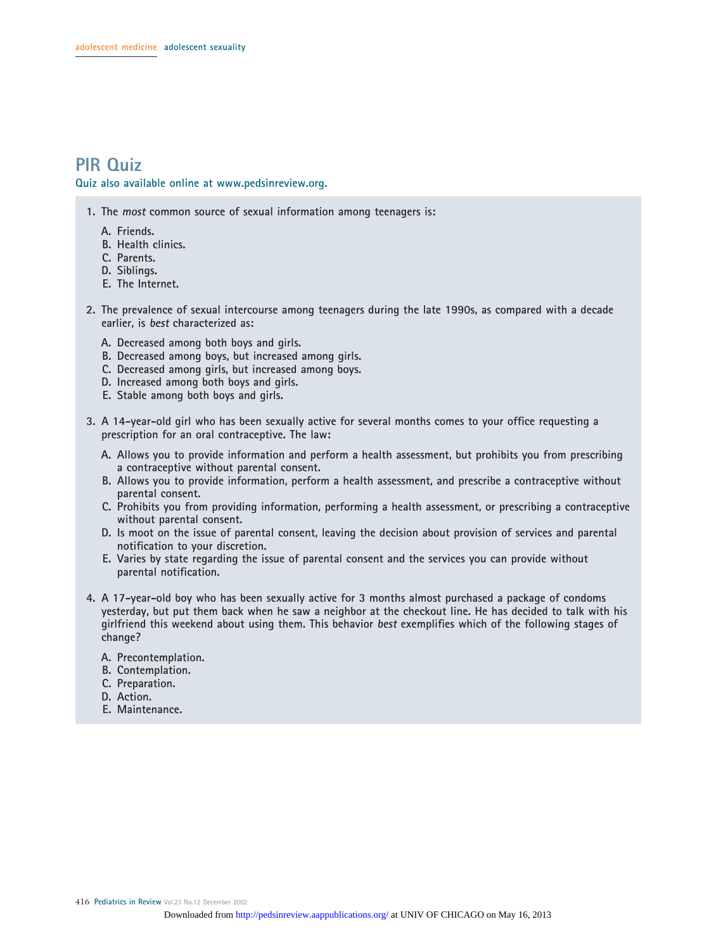# **PIR Quiz**

**Quiz also available online at www.pedsinreview.org.**

- **1. The most common source of sexual information among teenagers is:**
	- **A. Friends.**
	- **B. Health clinics.**
	- **C. Parents.**
	- **D. Siblings.**
	- **E. The Internet.**
- **2. The prevalence of sexual intercourse among teenagers during the late 1990s, as compared with a decade earlier, is best characterized as:**
	- **A. Decreased among both boys and girls.**
	- **B. Decreased among boys, but increased among girls.**
	- **C. Decreased among girls, but increased among boys.**
	- **D. Increased among both boys and girls.**
	- **E. Stable among both boys and girls.**
- **3. A 14-year-old girl who has been sexually active for several months comes to your office requesting a prescription for an oral contraceptive. The law:**
	- **A. Allows you to provide information and perform a health assessment, but prohibits you from prescribing a contraceptive without parental consent.**
	- **B. Allows you to provide information, perform a health assessment, and prescribe a contraceptive without parental consent.**
	- **C. Prohibits you from providing information, performing a health assessment, or prescribing a contraceptive without parental consent.**
	- **D. Is moot on the issue of parental consent, leaving the decision about provision of services and parental notification to your discretion.**
	- **E. Varies by state regarding the issue of parental consent and the services you can provide without parental notification.**
- **4. A 17-year-old boy who has been sexually active for 3 months almost purchased a package of condoms yesterday, but put them back when he saw a neighbor at the checkout line. He has decided to talk with his girlfriend this weekend about using them. This behavior best exemplifies which of the following stages of change?**
	- **A. Precontemplation.**
	- **B. Contemplation.**
	- **C. Preparation.**
	- **D. Action.**
	- **E. Maintenance.**